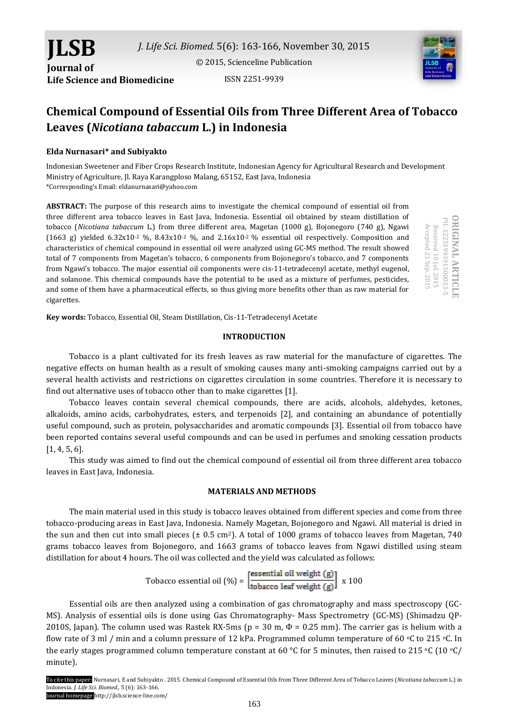ISSN 2251-9939



# **Chemical Compound of Essential Oils from Three Different Area of Tobacco Leaves (***Nicotiana tabaccum* **L.) in Indonesia**

## **Elda Nurnasari\* and Subiyakto**

**Life Science and Biomedicine**

**JLSB**

**Journal of** 

Indonesian Sweetener and Fiber Crops Research Institute, Indonesian Agency for Agricultural Research and Development Ministry of Agriculture, Jl. Raya Karangploso Malang, 65152, East Java, Indonesia \*Corresponding's Email: eldanurnasari@yahoo.com

**ABSTRACT:** The purpose of this research aims to investigate the chemical compound of essential oil from three different area tobacco leaves in East Java, Indonesia. Essential oil obtained by steam distillation of tobacco (*Nicotiana tabaccum* L.) from three different area, Magetan (1000 g), Bojonegoro (740 g), Ngawi (1663 g) yielded 6.32x10<sup>-2</sup> %, 8.43x10<sup>-2</sup> %, and 2.16x10<sup>-2</sup> % essential oil respectively. Composition and characteristics of chemical compound in essential oil were analyzed using GC-MS method. The result showed total of 7 components from Magetan's tobacco, 6 components from Bojonegoro's tobacco, and 7 components from Ngawi's tobacco. The major essential oil components were cis-11-tetradecenyl acetate, methyl eugenol, and solanone. This chemical compounds have the potential to be used as a mixture of perfumes, pesticides, and some of them have a pharmaceutical effects, so thus giving more benefits other than as raw material for cigarettes.

**Key words:** Tobacco, Essential Oil, Steam Distillation, Cis-11-Tetradecenyl Acetate

#### **INTRODUCTION**

Tobacco is a plant cultivated for its fresh leaves as raw material for the manufacture of cigarettes. The negative effects on human health as a result of smoking causes many anti-smoking campaigns carried out by a several health activists and restrictions on cigarettes circulation in some countries. Therefore it is necessary to find out alternative uses of tobacco other than to make cigarettes [1].

Tobacco leaves contain several chemical compounds, there are acids, alcohols, aldehydes, ketones, alkaloids, amino acids, carbohydrates, esters, and terpenoids [2], and containing an abundance of potentially useful compound, such as protein, polysaccharides and aromatic compounds [3]. Essential oil from tobacco have been reported contains several useful compounds and can be used in perfumes and smoking cessation products [1, 4, 5, 6].

This study was aimed to find out the chemical compound of essential oil from three different area tobacco leaves in East Java, Indonesia.

## **MATERIALS AND METHODS**

The main material used in this study is tobacco leaves obtained from different species and come from three tobacco-producing areas in East Java, Indonesia. Namely Magetan, Bojonegoro and Ngawi. All material is dried in the sun and then cut into small pieces ( $\pm$  0.5 cm<sup>2</sup>). A total of 1000 grams of tobacco leaves from Magetan, 740 grams tobacco leaves from Bojonegoro, and 1663 grams of tobacco leaves from Ngawi distilled using steam distillation for about 4 hours. The oil was collected and the yield was calculated as follows:

Tabacco essential oil (
$$
\%
$$
) =  $\frac{\text{essential oil weight (g)}}{\text{tobacco leaf weight (g)}} \times 100$ 

Essential oils are then analyzed using a combination of gas chromatography and mass spectroscopy (GC-MS). Analysis of essential oils is done using Gas Chromatography- Mass Spectrometry (GC-MS) (Shimadzu QP-2010S, Japan). The column used was Rastek RX-5ms ( $p = 30$  m,  $\Phi = 0.25$  mm). The carrier gas is helium with a flow rate of 3 ml / min and a column pressure of 12 kPa. Programmed column temperature of 60  $\degree$ C to 215  $\degree$ C. In the early stages programmed column temperature constant at 60 °C for 5 minutes, then raised to 215 °C (10 °C/ minute).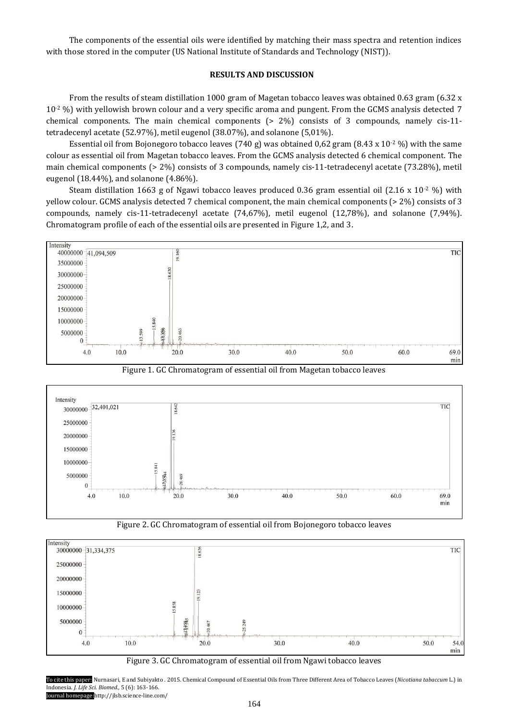The components of the essential oils were identified by matching their mass spectra and retention indices with those stored in the computer (US National Institute of Standards and Technology (NIST)).

## **RESULTS AND DISCUSSION**

From the results of steam distillation 1000 gram of Magetan tobacco leaves was obtained 0.63 gram (6.32 x 10-2 %) with yellowish brown colour and a very specific aroma and pungent. From the GCMS analysis detected 7 chemical components. The main chemical components (> 2%) consists of 3 compounds, namely cis-11 tetradecenyl acetate (52.97%), metil eugenol (38.07%), and solanone (5,01%).

Essential oil from Bojonegoro tobacco leaves (740 g) was obtained 0,62 gram (8.43 x 10<sup>-2</sup> %) with the same colour as essential oil from Magetan tobacco leaves. From the GCMS analysis detected 6 chemical component. The main chemical components (> 2%) consists of 3 compounds, namely cis-11-tetradecenyl acetate (73.28%), metil eugenol (18.44%), and solanone (4.86%).

Steam distillation 1663 g of Ngawi tobacco leaves produced 0.36 gram essential oil (2.16 x 10<sup>-2</sup> %) with yellow colour. GCMS analysis detected 7 chemical component, the main chemical components (> 2%) consists of 3 compounds, namely cis-11-tetradecenyl acetate (74,67%), metil eugenol (12,78%), and solanone (7,94%). Chromatogram profile of each of the essential oils are presented in Figure 1,2, and 3.





Figure 1. GC Chromatogram of essential oil from Magetan tobacco leaves



Figure 2. GC Chromatogram of essential oil from Bojonegoro tobacco leaves

Figure 3. GC Chromatogram of essential oil from Ngawi tobacco leaves

To cite this paper: Nurnasari, E and Subiyakto . 2015. Chemical Compound of Essential Oils from Three Different Area of Tobacco Leaves (*Nicotiana tabaccum* L.) in Indonesia. *J. Life Sci. Biomed.,* 5 (6): 163-166. Journal homepage:http://jlsb.science-line.com/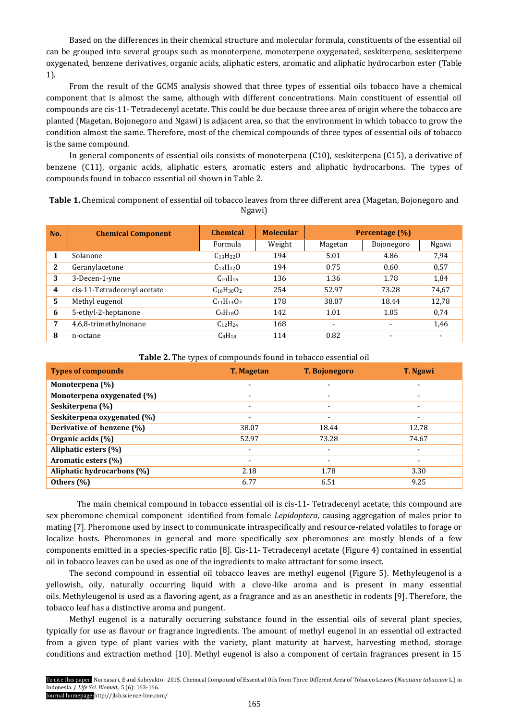Based on the differences in their chemical structure and molecular formula, constituents of the essential oil can be grouped into several groups such as monoterpene, monoterpene oxygenated, seskiterpene, seskiterpene oxygenated, benzene derivatives, organic acids, aliphatic esters, aromatic and aliphatic hydrocarbon ester (Table 1).

From the result of the GCMS analysis showed that three types of essential oils tobacco have a chemical component that is almost the same, although with different concentrations. Main constituent of essential oil compounds are cis-11- Tetradecenyl acetate. This could be due because three area of origin where the tobacco are planted (Magetan, Bojonegoro and Ngawi) is adjacent area, so that the environment in which tobacco to grow the condition almost the same. Therefore, most of the chemical compounds of three types of essential oils of tobacco is the same compound.

In general components of essential oils consists of monoterpena (C10), seskiterpena (C15), a derivative of benzene (C11), organic acids, aliphatic esters, aromatic esters and aliphatic hydrocarbons. The types of compounds found in tobacco essential oil shown in Table 2.

**Table 1.** Chemical component of essential oil tobacco leaves from three different area (Magetan, Bojonegoro and Ngawi)

| No. | <b>Chemical Component</b>   | <b>Chemical</b>                  | <b>Molecular</b> | <b>Percentage</b> (%)    |            |       |
|-----|-----------------------------|----------------------------------|------------------|--------------------------|------------|-------|
|     |                             | Formula                          | Weight           | Magetan                  | Bojonegoro | Ngawi |
| 1   | Solanone                    | $C_{13}H_{22}O$                  | 194              | 5.01                     | 4.86       | 7,94  |
| 2   | Geranylacetone              | $C_{13}H_{22}O$                  | 194              | 0.75                     | 0.60       | 0,57  |
| 3   | 3-Decen-1-yne               | $C_{10}H_{16}$                   | 136              | 1.36                     | 1.78       | 1,84  |
| 4   | cis-11-Tetradecenyl acetate | $C_{16}H_{30}O_2$                | 254              | 52.97                    | 73.28      | 74,67 |
| 5   | Methyl eugenol              | $C_{11}H_{14}O_2$                | 178              | 38.07                    | 18.44      | 12,78 |
| 6   | 5-ethyl-2-heptanone         | C <sub>9</sub> H <sub>18</sub> O | 142              | 1.01                     | 1.05       | 0,74  |
| 7   | 4,6,8-trimethylnonane       | $C_{12}H_{24}$                   | 168              | $\overline{\phantom{a}}$ |            | 1,46  |
| 8   | n-octane                    | $C_8H_{18}$                      | 114              | 0.82                     |            |       |

**Table 2.** The types of compounds found in tobacco essential oil

| <b>Types of compounds</b>   | <b>T. Magetan</b>        | <b>T. Bojonegoro</b>     | <b>T.</b> Ngawi |
|-----------------------------|--------------------------|--------------------------|-----------------|
| Monoterpena (%)             | ۰                        | $\blacksquare$           | ۰.              |
| Monoterpena oxygenated (%)  | $\overline{\phantom{a}}$ | $\overline{\phantom{0}}$ |                 |
| Seskiterpena (%)            | $\overline{\phantom{a}}$ | $\overline{\phantom{a}}$ | ۰.              |
| Seskiterpena oxygenated (%) | $\overline{\phantom{a}}$ |                          |                 |
| Derivative of benzene (%)   | 38.07                    | 18.44                    | 12.78           |
| Organic acids (%)           | 52.97                    | 73.28                    | 74.67           |
| Aliphatic esters (%)        | $\overline{\phantom{a}}$ | $\blacksquare$           | -               |
| Aromatic esters (%)         | $\overline{\phantom{a}}$ |                          |                 |
| Aliphatic hydrocarbons (%)  | 2.18                     | 1.78                     | 3.30            |
| Others $(\% )$              | 6.77                     | 6.51                     | 9.25            |

The main chemical compound in tobacco essential oil is cis-11- Tetradecenyl acetate, this compound are sex pheromone chemical component identified from female *Lepidoptera*, causing aggregation of males prior to mating [7]. Pheromone used by insect to communicate intraspecifically and resource-related volatiles to forage or localize hosts. Pheromones in general and more specifically sex pheromones are mostly blends of a few components emitted in a species-specific ratio [8]. Cis-11- Tetradecenyl acetate (Figure 4) contained in essential oil in tobacco leaves can be used as one of the ingredients to make attractant for some insect.

The second compound in essential oil tobacco leaves are methyl eugenol (Figure 5). Methyleugenol is a yellowish, oily, naturally occurring liquid with a clove-like aroma and is present in many essential oils. Methyleugenol is used as a flavoring agent, as a fragrance and as an anesthetic in rodents [9]. Therefore, the tobacco leaf has a distinctive aroma and pungent.

Methyl eugenol is a naturally occurring substance found in the essential oils of several plant species, typically for use as flavour or fragrance ingredients. The amount of methyl eugenol in an essential oil extracted from a given type of plant varies with the variety, plant maturity at harvest, harvesting method, storage conditions and extraction method [10]. Methyl eugenol is also a component of certain fragrances present in 15